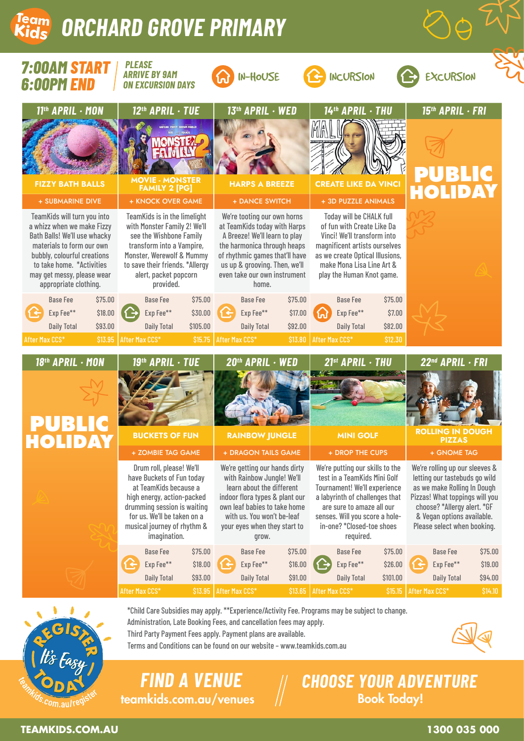# **am** ORCHARD GROVE PRIMARY



\*Child Care Subsidies may apply. \*\*Experience/Activity Fee. Programs may be subject to change. Administration, Late Booking Fees, and cancellation fees may apply.

Third Party Payment Fees apply. Payment plans are available.

Terms and Conditions can be found on our website – www.teamkids.com.au



teamkids.com.au/venues // Book Today! *FIND A VENUE CHOOSE YOUR ADVENTURE*

**TEAMKIDS.COM.AU 1300 035 000**